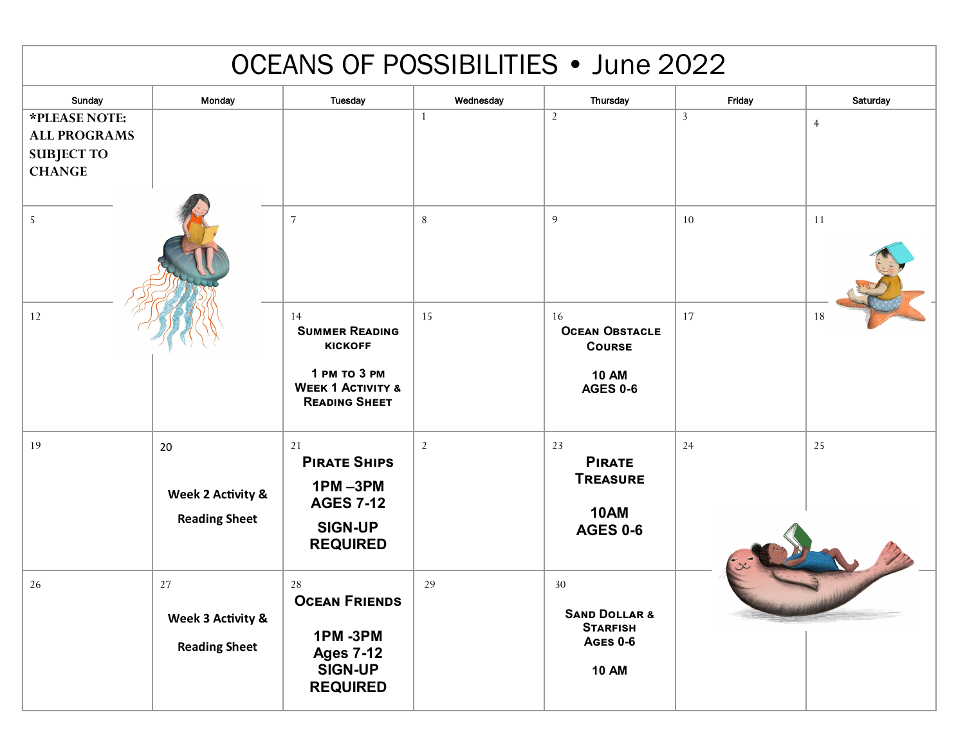| <b>OCEANS OF POSSIBILITIES • June 2022</b>                                 |                                                 |                                                                                                                       |                |                                                                                      |              |                |  |  |  |  |  |
|----------------------------------------------------------------------------|-------------------------------------------------|-----------------------------------------------------------------------------------------------------------------------|----------------|--------------------------------------------------------------------------------------|--------------|----------------|--|--|--|--|--|
| Sunday                                                                     | Monday                                          | <b>Tuesday</b>                                                                                                        | Wednesday      | Thursday                                                                             | Friday       | Saturday       |  |  |  |  |  |
| *PLEASE NOTE:<br><b>ALL PROGRAMS</b><br><b>SUBJECT TO</b><br><b>CHANGE</b> |                                                 |                                                                                                                       | 1              | 2                                                                                    | $\mathbf{3}$ | $\overline{4}$ |  |  |  |  |  |
| 5                                                                          |                                                 | $\sqrt{ }$                                                                                                            | $8\,$          | 9                                                                                    | 10           | 11             |  |  |  |  |  |
| 12                                                                         |                                                 | 14<br><b>SUMMER READING</b><br><b>KICKOFF</b><br>1 PM TO 3 PM<br><b>WEEK 1 ACTIVITY &amp;</b><br><b>READING SHEET</b> | 15             | 16<br><b>OCEAN OBSTACLE</b><br><b>COURSE</b><br><b>10 AM</b><br><b>AGES 0-6</b>      | 17           | 18             |  |  |  |  |  |
| 19                                                                         | 20<br>Week 2 Activity &<br><b>Reading Sheet</b> | 21<br><b>PIRATE SHIPS</b><br>$1PM - 3PM$<br><b>AGES 7-12</b><br><b>SIGN-UP</b><br><b>REQUIRED</b>                     | $\overline{2}$ | 23<br><b>PIRATE</b><br><b>TREASURE</b><br><b>10AM</b><br><b>AGES 0-6</b>             | 24           | 25             |  |  |  |  |  |
| 26                                                                         | 27<br>Week 3 Activity &<br><b>Reading Sheet</b> | 28<br><b>OCEAN FRIENDS</b><br><b>1PM-3PM</b><br><b>Ages 7-12</b><br><b>SIGN-UP</b><br><b>REQUIRED</b>                 | 29             | 30<br><b>SAND DOLLAR &amp;</b><br><b>STARFISH</b><br><b>AGES 0-6</b><br><b>10 AM</b> |              |                |  |  |  |  |  |